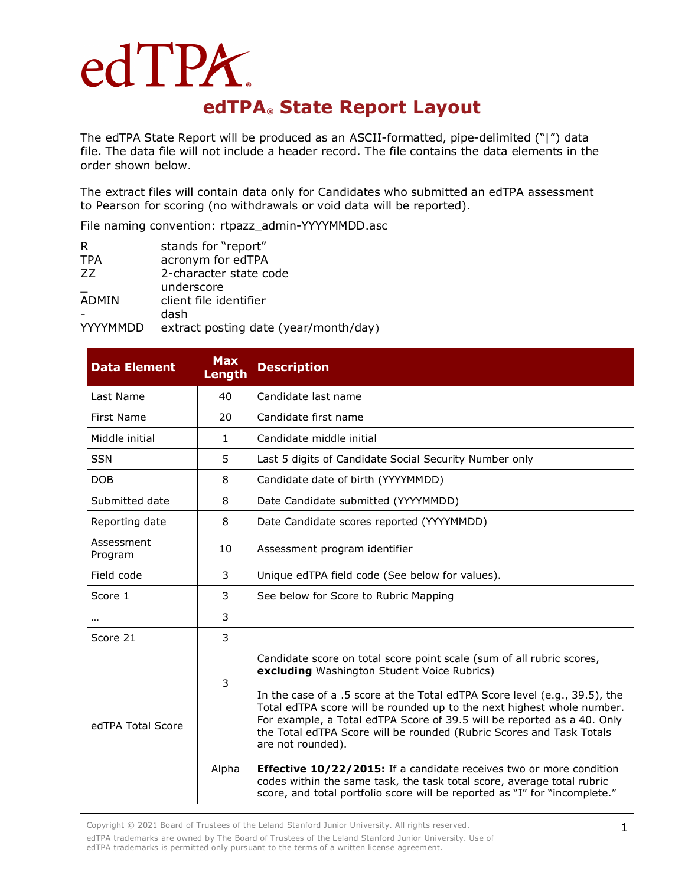## edTPA. **edTPA® State Report Layout**

The edTPA State Report will be produced as an ASCII-formatted, pipe-delimited ("|") data file. The data file will not include a header record. The file contains the data elements in the order shown below.

The extract files will contain data only for Candidates who submitted an edTPA assessment to Pearson for scoring (no withdrawals or void data will be reported).

File naming convention: rtpazz\_admin-YYYYMMDD.asc

| R            | stands for "report"                   |
|--------------|---------------------------------------|
| <b>TPA</b>   | acronym for edTPA                     |
| 77           | 2-character state code                |
|              | underscore                            |
| <b>ADMIN</b> | client file identifier                |
|              | dash                                  |
| YYYYMMDD     | extract posting date (year/month/day) |

| <b>Data Element</b>   | <b>Max</b><br>Length | <b>Description</b>                                                                                                                                                                                                                                                                                                                                                                                                                                                                                                                                                                                                                                                                         |
|-----------------------|----------------------|--------------------------------------------------------------------------------------------------------------------------------------------------------------------------------------------------------------------------------------------------------------------------------------------------------------------------------------------------------------------------------------------------------------------------------------------------------------------------------------------------------------------------------------------------------------------------------------------------------------------------------------------------------------------------------------------|
| Last Name             | 40                   | Candidate last name                                                                                                                                                                                                                                                                                                                                                                                                                                                                                                                                                                                                                                                                        |
| First Name            | 20                   | Candidate first name                                                                                                                                                                                                                                                                                                                                                                                                                                                                                                                                                                                                                                                                       |
| Middle initial        | $\mathbf{1}$         | Candidate middle initial                                                                                                                                                                                                                                                                                                                                                                                                                                                                                                                                                                                                                                                                   |
| <b>SSN</b>            | 5                    | Last 5 digits of Candidate Social Security Number only                                                                                                                                                                                                                                                                                                                                                                                                                                                                                                                                                                                                                                     |
| <b>DOB</b>            | 8                    | Candidate date of birth (YYYYMMDD)                                                                                                                                                                                                                                                                                                                                                                                                                                                                                                                                                                                                                                                         |
| Submitted date        | 8                    | Date Candidate submitted (YYYYMMDD)                                                                                                                                                                                                                                                                                                                                                                                                                                                                                                                                                                                                                                                        |
| Reporting date        | 8                    | Date Candidate scores reported (YYYYMMDD)                                                                                                                                                                                                                                                                                                                                                                                                                                                                                                                                                                                                                                                  |
| Assessment<br>Program | 10                   | Assessment program identifier                                                                                                                                                                                                                                                                                                                                                                                                                                                                                                                                                                                                                                                              |
| Field code            | 3                    | Unique edTPA field code (See below for values).                                                                                                                                                                                                                                                                                                                                                                                                                                                                                                                                                                                                                                            |
| Score 1               | 3                    | See below for Score to Rubric Mapping                                                                                                                                                                                                                                                                                                                                                                                                                                                                                                                                                                                                                                                      |
| $\cdots$              | 3                    |                                                                                                                                                                                                                                                                                                                                                                                                                                                                                                                                                                                                                                                                                            |
| Score 21              | 3                    |                                                                                                                                                                                                                                                                                                                                                                                                                                                                                                                                                                                                                                                                                            |
| edTPA Total Score     | 3<br>Alpha           | Candidate score on total score point scale (sum of all rubric scores,<br>excluding Washington Student Voice Rubrics)<br>In the case of a .5 score at the Total edTPA Score level (e.g., 39.5), the<br>Total edTPA score will be rounded up to the next highest whole number.<br>For example, a Total edTPA Score of 39.5 will be reported as a 40. Only<br>the Total edTPA Score will be rounded (Rubric Scores and Task Totals<br>are not rounded).<br><b>Effective 10/22/2015:</b> If a candidate receives two or more condition<br>codes within the same task, the task total score, average total rubric<br>score, and total portfolio score will be reported as "I" for "incomplete." |

Copyright © 2021 Board of Trustees of the Leland Stanford Junior University. All rights reserved. edTPA trademarks are owned by The Board of Trustees of the Leland Stanford Junior University. Use of edTPA trademarks is permitted only pursuant to the terms of a written license agreement.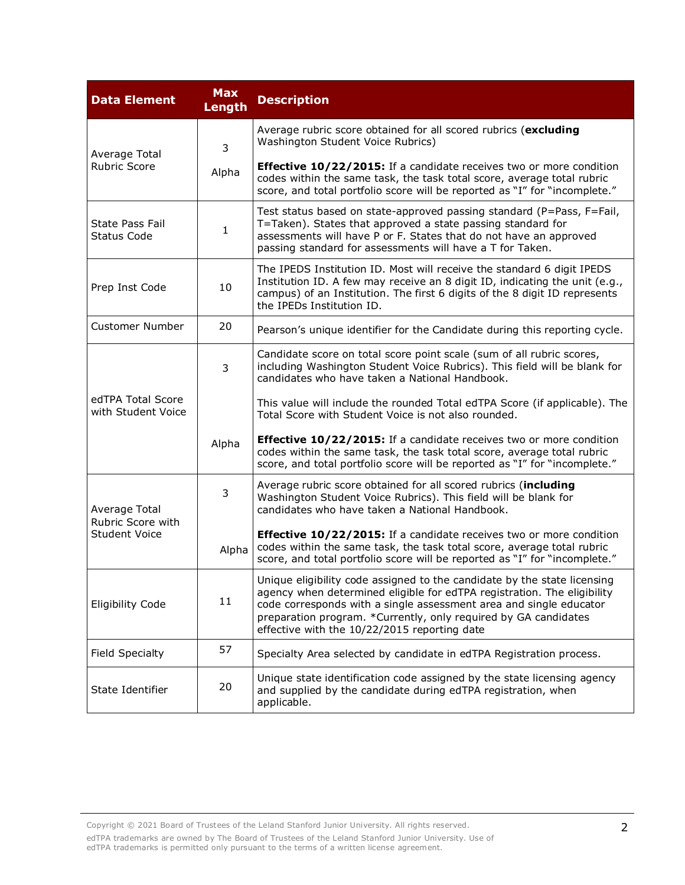| <b>Data Element</b>                                        | <b>Max</b><br><b>Length</b> | <b>Description</b>                                                                                                                                                                                                                                                                                                                           |  |  |  |
|------------------------------------------------------------|-----------------------------|----------------------------------------------------------------------------------------------------------------------------------------------------------------------------------------------------------------------------------------------------------------------------------------------------------------------------------------------|--|--|--|
| Average Total<br><b>Rubric Score</b>                       | 3                           | Average rubric score obtained for all scored rubrics (excluding<br>Washington Student Voice Rubrics)                                                                                                                                                                                                                                         |  |  |  |
|                                                            | Alpha                       | <b>Effective 10/22/2015:</b> If a candidate receives two or more condition<br>codes within the same task, the task total score, average total rubric<br>score, and total portfolio score will be reported as "I" for "incomplete."                                                                                                           |  |  |  |
| <b>State Pass Fail</b><br><b>Status Code</b>               | 1                           | Test status based on state-approved passing standard (P=Pass, F=Fail,<br>T=Taken). States that approved a state passing standard for<br>assessments will have P or F. States that do not have an approved<br>passing standard for assessments will have a T for Taken.                                                                       |  |  |  |
| Prep Inst Code                                             | 10                          | The IPEDS Institution ID. Most will receive the standard 6 digit IPEDS<br>Institution ID. A few may receive an 8 digit ID, indicating the unit (e.g.,<br>campus) of an Institution. The first 6 digits of the 8 digit ID represents<br>the IPEDs Institution ID.                                                                             |  |  |  |
| <b>Customer Number</b>                                     | 20                          | Pearson's unique identifier for the Candidate during this reporting cycle.                                                                                                                                                                                                                                                                   |  |  |  |
|                                                            | 3                           | Candidate score on total score point scale (sum of all rubric scores,<br>including Washington Student Voice Rubrics). This field will be blank for<br>candidates who have taken a National Handbook.                                                                                                                                         |  |  |  |
| edTPA Total Score<br>with Student Voice                    |                             | This value will include the rounded Total edTPA Score (if applicable). The<br>Total Score with Student Voice is not also rounded.                                                                                                                                                                                                            |  |  |  |
|                                                            | Alpha                       | <b>Effective 10/22/2015:</b> If a candidate receives two or more condition<br>codes within the same task, the task total score, average total rubric<br>score, and total portfolio score will be reported as "I" for "incomplete."                                                                                                           |  |  |  |
| Average Total<br>Rubric Score with<br><b>Student Voice</b> | 3                           | Average rubric score obtained for all scored rubrics (including<br>Washington Student Voice Rubrics). This field will be blank for<br>candidates who have taken a National Handbook.                                                                                                                                                         |  |  |  |
|                                                            | Alpha                       | Effective 10/22/2015: If a candidate receives two or more condition<br>codes within the same task, the task total score, average total rubric<br>score, and total portfolio score will be reported as "I" for "incomplete."                                                                                                                  |  |  |  |
| Eligibility Code                                           | 11                          | Unique eligibility code assigned to the candidate by the state licensing<br>agency when determined eligible for edTPA registration. The eligibility<br>code corresponds with a single assessment area and single educator<br>preparation program. *Currently, only required by GA candidates<br>effective with the 10/22/2015 reporting date |  |  |  |
| Field Specialty                                            | 57                          | Specialty Area selected by candidate in edTPA Registration process.                                                                                                                                                                                                                                                                          |  |  |  |
| State Identifier                                           | 20                          | Unique state identification code assigned by the state licensing agency<br>and supplied by the candidate during edTPA registration, when<br>applicable.                                                                                                                                                                                      |  |  |  |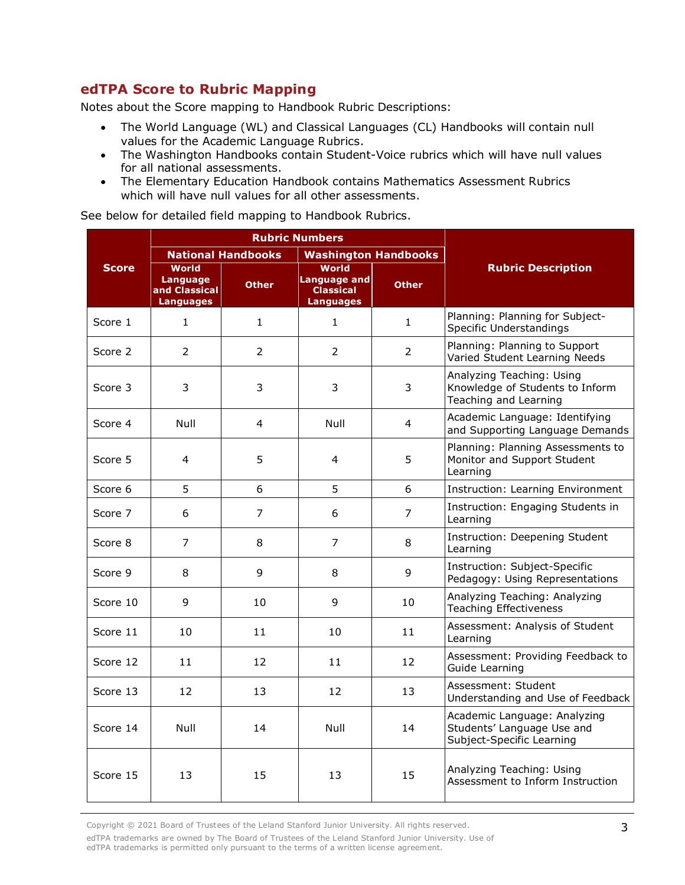## **edTPA Score to Rubric Mapping**

Notes about the Score mapping to Handbook Rubric Descriptions:

- The World Language (WL) and Classical Languages (CL) Handbooks will contain null values for the Academic Language Rubrics.
- The Washington Handbooks contain Student-Voice rubrics which will have null values for all national assessments.
- The Elementary Education Handbook contains Mathematics Assessment Rubrics which will have null values for all other assessments.

See below for detailed field mapping to Handbook Rubrics.

|              |                                                                      | <b>Rubric Numbers</b>     |                                                                      |                       |                                                                                         |
|--------------|----------------------------------------------------------------------|---------------------------|----------------------------------------------------------------------|-----------------------|-----------------------------------------------------------------------------------------|
|              |                                                                      | <b>National Handbooks</b> | <b>Washington Handbooks</b>                                          |                       |                                                                                         |
| <b>Score</b> | <b>World</b><br><b>Language</b><br>and Classical<br><b>Languages</b> | <b>Other</b>              | World<br><b>Language and</b><br><b>Classical</b><br><b>Languages</b> | <b>Other</b>          | <b>Rubric Description</b>                                                               |
| Score 1      | $\mathbf{1}$                                                         | $\mathbf{1}$              | $\mathbf{1}$                                                         | $\mathbf{1}$          | Planning: Planning for Subject-<br>Specific Understandings                              |
| Score 2      | 2                                                                    | 2                         | $\overline{2}$                                                       | $\mathbf{2}^{\prime}$ | Planning: Planning to Support<br>Varied Student Learning Needs                          |
| Score 3      | 3                                                                    | 3                         | 3                                                                    | 3                     | Analyzing Teaching: Using<br>Knowledge of Students to Inform<br>Teaching and Learning   |
| Score 4      | Null                                                                 | 4                         | Null                                                                 | 4                     | Academic Language: Identifying<br>and Supporting Language Demands                       |
| Score 5      | 4                                                                    | 5                         | 4                                                                    | 5                     | Planning: Planning Assessments to<br>Monitor and Support Student<br>Learning            |
| Score 6      | 5                                                                    | 6                         | 5                                                                    | 6                     | Instruction: Learning Environment                                                       |
| Score 7      | 6                                                                    | 7                         | 6                                                                    | 7                     | Instruction: Engaging Students in<br>Learning                                           |
| Score 8      | $\overline{7}$                                                       | 8                         | 7                                                                    | 8                     | Instruction: Deepening Student<br>Learning                                              |
| Score 9      | 8                                                                    | 9                         | 8                                                                    | 9                     | Instruction: Subject-Specific<br>Pedagogy: Using Representations                        |
| Score 10     | 9                                                                    | 10                        | 9                                                                    | 10                    | Analyzing Teaching: Analyzing<br><b>Teaching Effectiveness</b>                          |
| Score 11     | 10                                                                   | 11                        | 10                                                                   | 11                    | Assessment: Analysis of Student<br>Learning                                             |
| Score 12     | 11                                                                   | 12                        | 11                                                                   | 12                    | Assessment: Providing Feedback to<br>Guide Learning                                     |
| Score 13     | 12                                                                   | 13                        | 12                                                                   | 13                    | Assessment: Student<br>Understanding and Use of Feedback                                |
| Score 14     | Null                                                                 | 14                        | Null                                                                 | 14                    | Academic Language: Analyzing<br>Students' Language Use and<br>Subject-Specific Learning |
| Score 15     | 13                                                                   | 15                        | 13                                                                   | 15                    | Analyzing Teaching: Using<br>Assessment to Inform Instruction                           |

Copyright © 2021 Board of Trustees of the Leland Stanford Junior University. All rights reserved. edTPA trademarks are owned by The Board of Trustees of the Leland Stanford Junior University. Use of edTPA trademarks is permitted only pursuant to the terms of a written license agreement.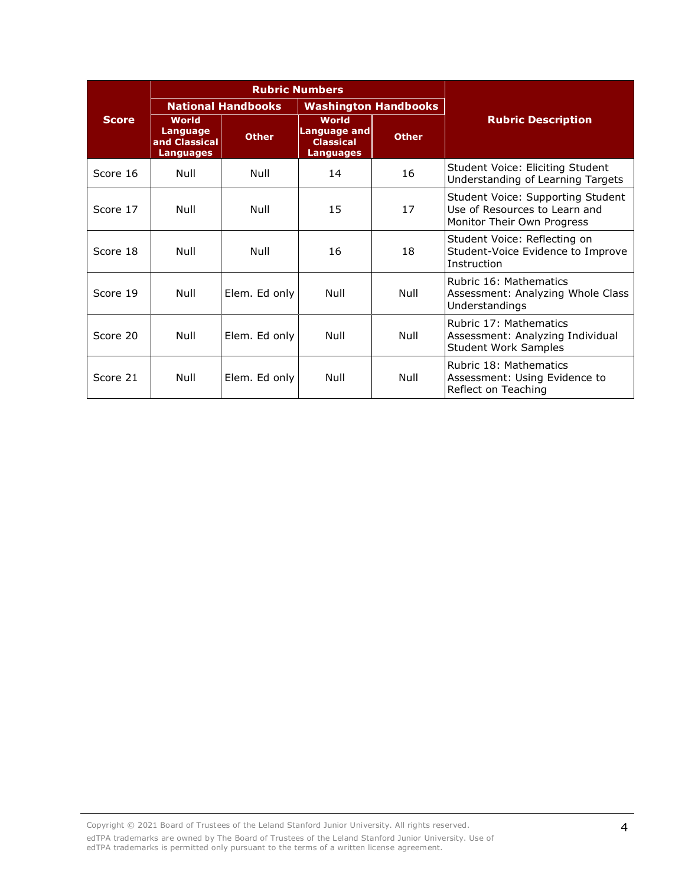|              |                                                               | <b>Rubric Numbers</b>     |                                                                             |              |                                                                                                  |
|--------------|---------------------------------------------------------------|---------------------------|-----------------------------------------------------------------------------|--------------|--------------------------------------------------------------------------------------------------|
|              |                                                               | <b>National Handbooks</b> | <b>Washington Handbooks</b>                                                 |              |                                                                                                  |
| <b>Score</b> | <b>World</b><br>Language<br>and Classical<br><b>Languages</b> | <b>Other</b>              | <b>World</b><br><b>Language and</b><br><b>Classical</b><br><b>Languages</b> | <b>Other</b> | <b>Rubric Description</b>                                                                        |
| Score 16     | Null                                                          | Null                      | 14                                                                          | 16           | Student Voice: Eliciting Student<br>Understanding of Learning Targets                            |
| Score 17     | Null                                                          | Null                      | 15                                                                          | 17           | Student Voice: Supporting Student<br>Use of Resources to Learn and<br>Monitor Their Own Progress |
| Score 18     | Null                                                          | Null                      | 16                                                                          | 18           | Student Voice: Reflecting on<br>Student-Voice Evidence to Improve<br>Instruction                 |
| Score 19     | Null                                                          | Elem. Ed only             | Null                                                                        | Null         | Rubric 16: Mathematics<br>Assessment: Analyzing Whole Class<br>Understandings                    |
| Score 20     | Null                                                          | Elem. Ed only             | Null                                                                        | Null         | Rubric 17: Mathematics<br>Assessment: Analyzing Individual<br><b>Student Work Samples</b>        |
| Score 21     | Null                                                          | Elem. Ed only             | Null                                                                        | Null         | Rubric 18: Mathematics<br>Assessment: Using Evidence to<br>Reflect on Teaching                   |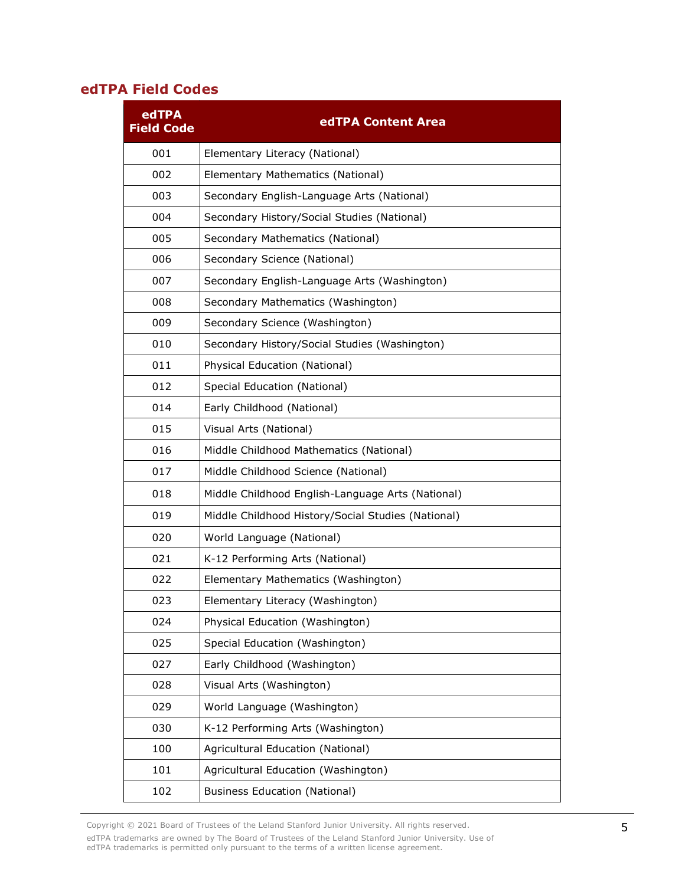## **edTPA Field Codes**

| edTPA<br><b>Field Code</b> | edTPA Content Area                                 |
|----------------------------|----------------------------------------------------|
| 001                        | Elementary Literacy (National)                     |
| 002                        | Elementary Mathematics (National)                  |
| 003                        | Secondary English-Language Arts (National)         |
| 004                        | Secondary History/Social Studies (National)        |
| 005                        | Secondary Mathematics (National)                   |
| 006                        | Secondary Science (National)                       |
| 007                        | Secondary English-Language Arts (Washington)       |
| 008                        | Secondary Mathematics (Washington)                 |
| 009                        | Secondary Science (Washington)                     |
| 010                        | Secondary History/Social Studies (Washington)      |
| 011                        | Physical Education (National)                      |
| 012                        | Special Education (National)                       |
| 014                        | Early Childhood (National)                         |
| 015                        | Visual Arts (National)                             |
| 016                        | Middle Childhood Mathematics (National)            |
| 017                        | Middle Childhood Science (National)                |
| 018                        | Middle Childhood English-Language Arts (National)  |
| 019                        | Middle Childhood History/Social Studies (National) |
| 020                        | World Language (National)                          |
| 021                        | K-12 Performing Arts (National)                    |
| 022                        | Elementary Mathematics (Washington)                |
| 023                        | Elementary Literacy (Washington)                   |
| 024                        | Physical Education (Washington)                    |
| 025                        | Special Education (Washington)                     |
| 027                        | Early Childhood (Washington)                       |
| 028                        | Visual Arts (Washington)                           |
| 029                        | World Language (Washington)                        |
| 030                        | K-12 Performing Arts (Washington)                  |
| 100                        | Agricultural Education (National)                  |
| 101                        | Agricultural Education (Washington)                |
| 102                        | <b>Business Education (National)</b>               |

Copyright © 2021 Board of Trustees of the Leland Stanford Junior University. All rights reserved. edTPA trademarks are owned by The Board of Trustees of the Leland Stanford Junior University. Use of edTPA trademarks is permitted only pursuant to the terms of a written license agreement.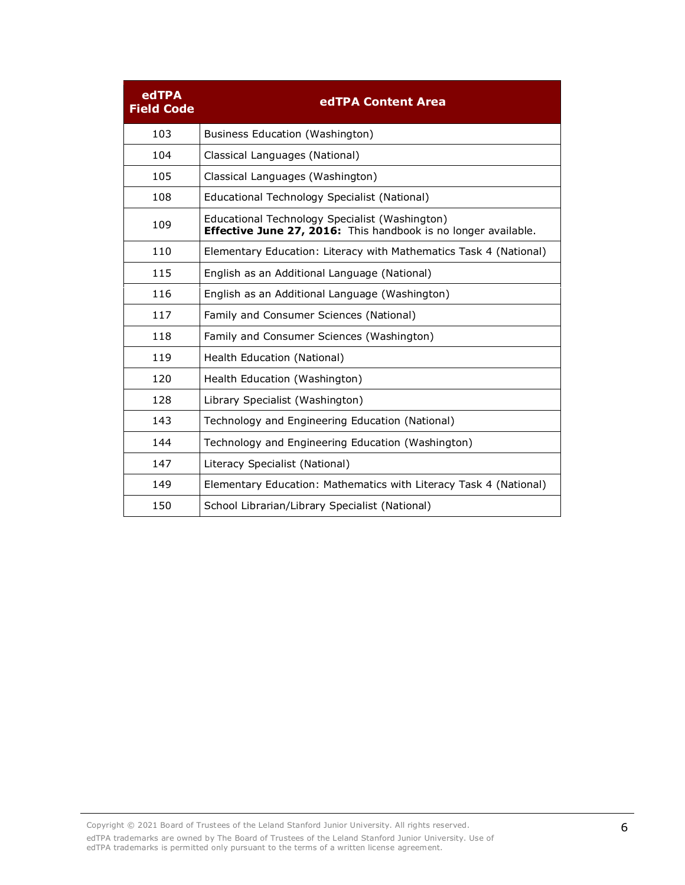| edTPA<br><b>Field Code</b> | edTPA Content Area                                                                                               |
|----------------------------|------------------------------------------------------------------------------------------------------------------|
| 103                        | Business Education (Washington)                                                                                  |
| 104                        | Classical Languages (National)                                                                                   |
| 105                        | Classical Languages (Washington)                                                                                 |
| 108                        | Educational Technology Specialist (National)                                                                     |
| 109                        | Educational Technology Specialist (Washington)<br>Effective June 27, 2016: This handbook is no longer available. |
| 110                        | Elementary Education: Literacy with Mathematics Task 4 (National)                                                |
| 115                        | English as an Additional Language (National)                                                                     |
| 116                        | English as an Additional Language (Washington)                                                                   |
| 117                        | Family and Consumer Sciences (National)                                                                          |
| 118                        | Family and Consumer Sciences (Washington)                                                                        |
| 119                        | Health Education (National)                                                                                      |
| 120                        | Health Education (Washington)                                                                                    |
| 128                        | Library Specialist (Washington)                                                                                  |
| 143                        | Technology and Engineering Education (National)                                                                  |
| 144                        | Technology and Engineering Education (Washington)                                                                |
| 147                        | Literacy Specialist (National)                                                                                   |
| 149                        | Elementary Education: Mathematics with Literacy Task 4 (National)                                                |
| 150                        | School Librarian/Library Specialist (National)                                                                   |